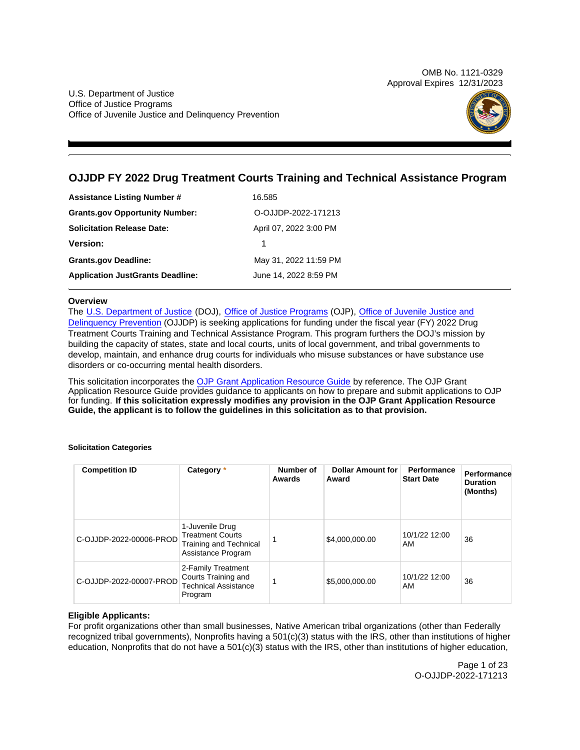OMB No. 1121-0329 Approval Expires 12/31/2023

U.S. Department of Justice Office of Justice Programs Office of Juvenile Justice and Delinquency Prevention



# **OJJDP FY 2022 Drug Treatment Courts Training and Technical Assistance Program**

| <b>Assistance Listing Number #</b>      | 16.585                 |
|-----------------------------------------|------------------------|
| <b>Grants.gov Opportunity Number:</b>   | O-OJJDP-2022-171213    |
| <b>Solicitation Release Date:</b>       | April 07, 2022 3:00 PM |
| <b>Version:</b>                         | 1                      |
| <b>Grants.gov Deadline:</b>             | May 31, 2022 11:59 PM  |
| <b>Application JustGrants Deadline:</b> | June 14, 2022 8:59 PM  |

## **Overview**

The [U.S. Department of Justice](https://www.usdoj.gov/) (DOJ), [Office of Justice Programs](https://www.ojp.usdoj.gov/) (OJP), Office of Juvenile Justice and [Delinquency Prevention](https://ojjdp.ojp.gov/) (OJJDP) is seeking applications for funding under the fiscal year (FY) 2022 Drug Treatment Courts Training and Technical Assistance Program. This program furthers the DOJ's mission by building the capacity of states, state and local courts, units of local government, and tribal governments to develop, maintain, and enhance drug courts for individuals who misuse substances or have substance use disorders or co-occurring mental health disorders.

This solicitation incorporates the [OJP Grant Application Resource Guide](https://www.ojp.gov/funding/Apply/Resources/Grant-App-Resource-Guide.htm) by reference. The OJP Grant Application Resource Guide provides guidance to applicants on how to prepare and submit applications to OJP for funding. **If this solicitation expressly modifies any provision in the OJP Grant Application Resource Guide, the applicant is to follow the guidelines in this solicitation as to that provision.** 

## **Solicitation Categories**

| <b>Competition ID</b>   | Category *                                                                                 | Number of<br>Awards | <b>Dollar Amount for</b><br>Award | Performance<br><b>Start Date</b> | Performance<br><b>Duration</b><br>(Months) |
|-------------------------|--------------------------------------------------------------------------------------------|---------------------|-----------------------------------|----------------------------------|--------------------------------------------|
| C-OJJDP-2022-00006-PROD | 1-Juvenile Drug<br><b>Treatment Courts</b><br>Training and Technical<br>Assistance Program |                     | \$4,000,000.00                    | 10/1/22 12:00<br>AM              | 36                                         |
| C-OJJDP-2022-00007-PROD | 2-Family Treatment<br>Courts Training and<br><b>Technical Assistance</b><br>Program        |                     | \$5,000,000.00                    | 10/1/22 12:00<br>AM              | 36                                         |

# **Eligible Applicants:**

For profit organizations other than small businesses, Native American tribal organizations (other than Federally recognized tribal governments), Nonprofits having a 501(c)(3) status with the IRS, other than institutions of higher education, Nonprofits that do not have a 501(c)(3) status with the IRS, other than institutions of higher education,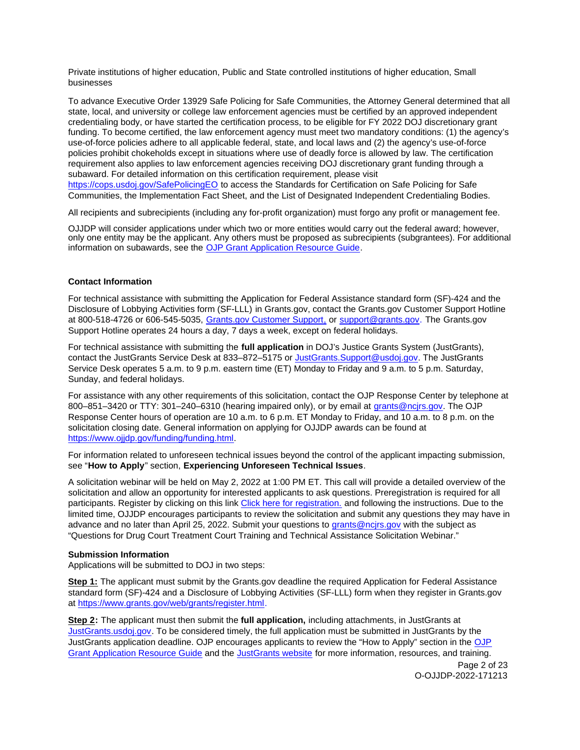<span id="page-1-0"></span>Private institutions of higher education, Public and State controlled institutions of higher education, Small businesses

To advance Executive Order 13929 Safe Policing for Safe Communities, the Attorney General determined that all state, local, and university or college law enforcement agencies must be certified by an approved independent credentialing body, or have started the certification process, to be eligible for FY 2022 DOJ discretionary grant funding. To become certified, the law enforcement agency must meet two mandatory conditions: (1) the agency's use-of-force policies adhere to all applicable federal, state, and local laws and (2) the agency's use-of-force policies prohibit chokeholds except in situations where use of deadly force is allowed by law. The certification requirement also applies to law enforcement agencies receiving DOJ discretionary grant funding through a subaward. For detailed information on this certification requirement, please visit [https://cops.usdoj.gov/SafePolicingEO](https://cops.usdoj.gov/SafePolicingEO%20) to access the Standards for Certification on Safe Policing for Safe Communities, the Implementation Fact Sheet, and the List of Designated Independent Credentialing Bodies.

All recipients and subrecipients (including any for-profit organization) must forgo any profit or management fee.

OJJDP will consider applications under which two or more entities would carry out the federal award; however, only one entity may be the applicant. Any others must be proposed as subrecipients (subgrantees). For additional information on subawards, see the [OJP Grant Application Resource Guide.](https://www.ojp.gov/funding/Apply/Resources/Grant-App-Resource-Guide.htm)

## **Contact Information**

For technical assistance with submitting the Application for Federal Assistance standard form (SF)-424 and the Disclosure of Lobbying Activities form (SF-LLL) in [Grants.gov](https://Grants.gov), contact the [Grants.gov](https://Grants.gov) Customer Support Hotline at 800-518-4726 or 606-545-5035, [Grants.gov Customer Support,](https://www.grants.gov/web/grants/support.html) or [support@grants.gov.](mailto:support@grants.gov) The [Grants.gov](https://Grants.gov)  Support Hotline operates 24 hours a day, 7 days a week, except on federal holidays.

For technical assistance with submitting the **full application** in DOJ's Justice Grants System (JustGrants), contact the JustGrants Service Desk at 833–872–5175 or [JustGrants.Support@usdoj.gov.](mailto:JustGrants.Support@usdoj.gov) The JustGrants Service Desk operates 5 a.m. to 9 p.m. eastern time (ET) Monday to Friday and 9 a.m. to 5 p.m. Saturday, Sunday, and federal holidays.

For assistance with any other requirements of this solicitation, contact the OJP Response Center by telephone at 800–851–3420 or TTY: 301–240–6310 (hearing impaired only), or by email at [grants@ncjrs.gov.](mailto:grants@ncjrs.gov) The OJP Response Center hours of operation are 10 a.m. to 6 p.m. ET Monday to Friday, and 10 a.m. to 8 p.m. on the solicitation closing date. General information on applying for OJJDP awards can be found at [https://www.ojjdp.gov/funding/funding.html.](https://www.ojjdp.gov/funding/funding.html)

For information related to unforeseen technical issues beyond the control of the applicant impacting submission, see "**How to Apply**" section, **Experiencing Unforeseen Technical Issues**.

A solicitation webinar will be held on May 2, 2022 at 1:00 PM ET. This call will provide a detailed overview of the solicitation and allow an opportunity for interested applicants to ask questions. Preregistration is required for all participants. Register by clicking on this link [Click here for registration.](https://ojp.webex.com/ojp/onstage/g.php?MTID=e1f82acecc6c71173575db8013821477b) and following the instructions. Due to the limited time, OJJDP encourages participants to review the solicitation and submit any questions they may have in advance and no later than April 25, 2022. Submit your questions to grants@ncirs.gov with the subject as "Questions for Drug Court Treatment Court Training and Technical Assistance Solicitation Webinar."

#### **Submission Information**

Applications will be submitted to DOJ in two steps:

**Step 1:** The applicant must submit by the [Grants.gov](https://Grants.gov) deadline the required Application for Federal Assistance standard form (SF)-424 and a Disclosure of Lobbying Activities (SF-LLL) form when they register in [Grants.gov](https://Grants.gov)  at [https://www.grants.gov/web/grants/register.html.](https://www.grants.gov/web/grants/register.html)

**Step 2:** The applicant must then submit the **full application,** including attachments, in JustGrants at [JustGrants.usdoj.gov.](https://justicegrants.usdoj.gov/) To be considered timely, the full application must be submitted in JustGrants by the JustGrants application deadline. OJP encourages applicants to review the "How to Apply" section in the [OJP](https://www.ojp.gov/funding/apply/ojp-grant-application-resource-guide#apply)  [Grant Application Resource Guide](https://www.ojp.gov/funding/apply/ojp-grant-application-resource-guide#apply) and the [JustGrants website](https://justicegrants.usdoj.gov/news) for more information, resources, and training.

Page 2 of 23 O-OJJDP-2022-171213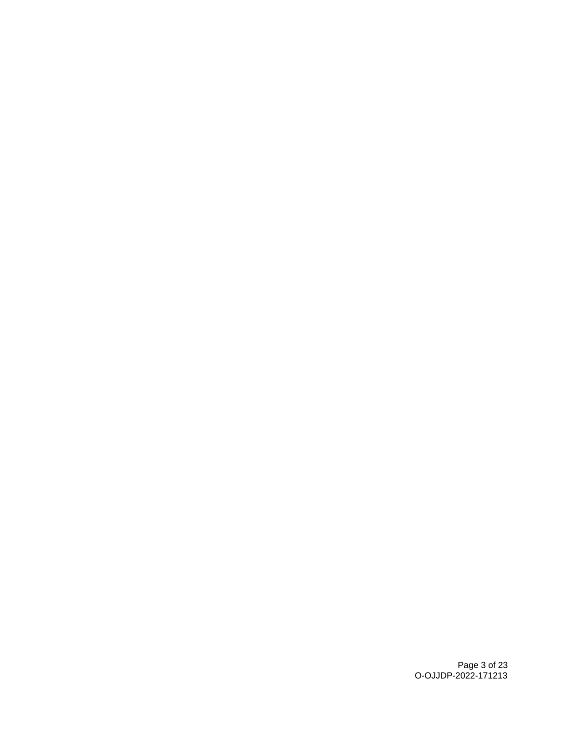Page 3 of 23 O-OJJDP-2022-171213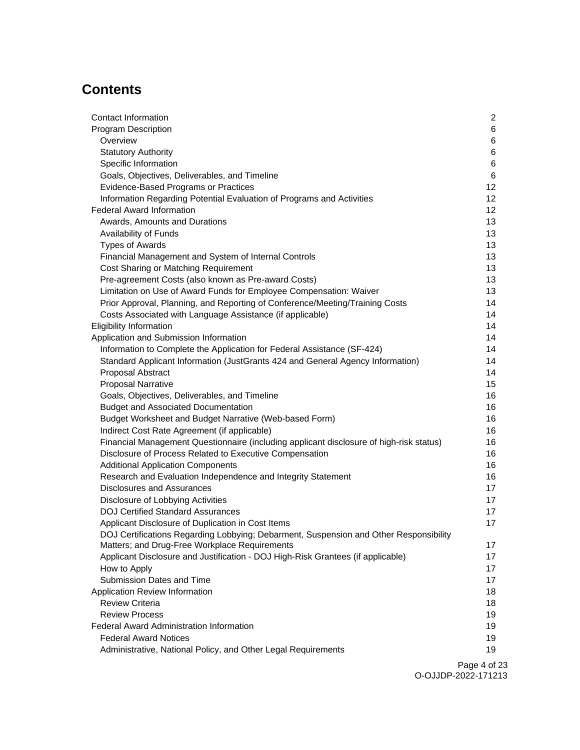# **Contents**

| Contact Information                                                                     | $\mathbf{2}$    |
|-----------------------------------------------------------------------------------------|-----------------|
| <b>Program Description</b>                                                              | 6               |
| Overview                                                                                | 6               |
| <b>Statutory Authority</b>                                                              | 6               |
| Specific Information                                                                    | $\,6\,$         |
| Goals, Objectives, Deliverables, and Timeline                                           | $\,6$           |
| Evidence-Based Programs or Practices                                                    | 12              |
| Information Regarding Potential Evaluation of Programs and Activities                   | 12 <sub>2</sub> |
| <b>Federal Award Information</b>                                                        | 12 <sup>2</sup> |
| Awards, Amounts and Durations                                                           | 13              |
| Availability of Funds                                                                   | 13              |
| <b>Types of Awards</b>                                                                  | 13              |
| Financial Management and System of Internal Controls                                    | 13              |
| Cost Sharing or Matching Requirement                                                    | 13              |
| Pre-agreement Costs (also known as Pre-award Costs)                                     | 13              |
| Limitation on Use of Award Funds for Employee Compensation: Waiver                      | 13              |
| Prior Approval, Planning, and Reporting of Conference/Meeting/Training Costs            | 14              |
| Costs Associated with Language Assistance (if applicable)                               | 14              |
| <b>Eligibility Information</b>                                                          | 14              |
| Application and Submission Information                                                  | 14              |
| Information to Complete the Application for Federal Assistance (SF-424)                 | 14              |
| Standard Applicant Information (JustGrants 424 and General Agency Information)          | 14              |
| Proposal Abstract                                                                       | 14              |
| <b>Proposal Narrative</b>                                                               | 15              |
| Goals, Objectives, Deliverables, and Timeline                                           | 16              |
| <b>Budget and Associated Documentation</b>                                              | 16              |
| Budget Worksheet and Budget Narrative (Web-based Form)                                  | 16              |
| Indirect Cost Rate Agreement (if applicable)                                            | 16              |
| Financial Management Questionnaire (including applicant disclosure of high-risk status) | 16              |
| Disclosure of Process Related to Executive Compensation                                 | 16              |
| <b>Additional Application Components</b>                                                | 16              |
| Research and Evaluation Independence and Integrity Statement                            | 16              |
| <b>Disclosures and Assurances</b>                                                       | 17              |
| Disclosure of Lobbying Activities                                                       | 17              |
| <b>DOJ Certified Standard Assurances</b>                                                | 17              |
| Applicant Disclosure of Duplication in Cost Items                                       | 17              |
| DOJ Certifications Regarding Lobbying; Debarment, Suspension and Other Responsibility   |                 |
| Matters; and Drug-Free Workplace Requirements                                           | 17              |
| Applicant Disclosure and Justification - DOJ High-Risk Grantees (if applicable)         | 17              |
| How to Apply                                                                            | 17              |
| Submission Dates and Time                                                               | 17              |
| Application Review Information                                                          | 18              |
| <b>Review Criteria</b>                                                                  | 18              |
| <b>Review Process</b>                                                                   | 19              |
| <b>Federal Award Administration Information</b>                                         | 19              |
| <b>Federal Award Notices</b>                                                            | 19              |
| Administrative, National Policy, and Other Legal Requirements                           | 19              |
|                                                                                         |                 |

Page 4 of 23 O-OJJDP-2022-171213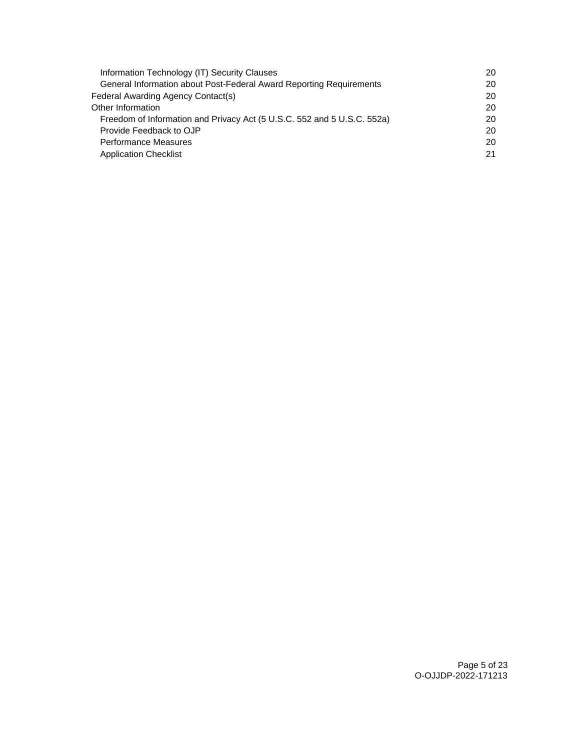| 20 |
|----|
| 20 |
| 20 |
| 20 |
| 20 |
| 20 |
| 20 |
| 21 |
|    |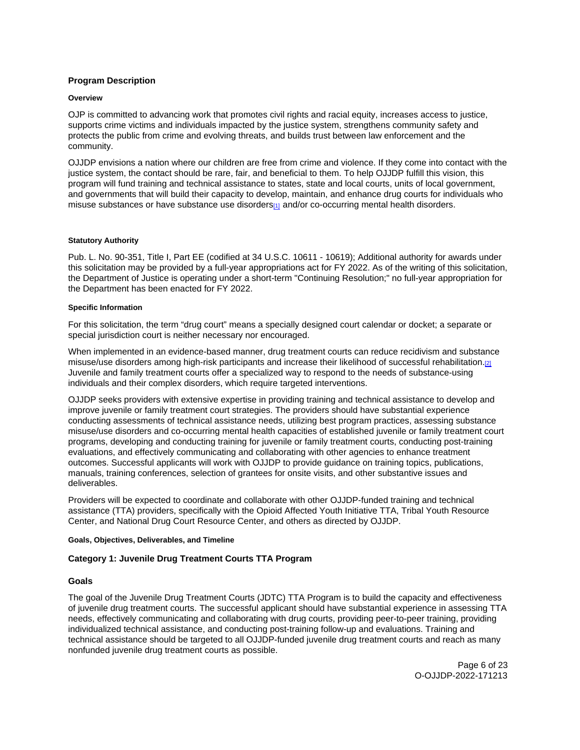## <span id="page-5-0"></span>**Program Description**

#### **Overview**

OJP is committed to advancing work that promotes civil rights and racial equity, increases access to justice, supports crime victims and individuals impacted by the justice system, strengthens community safety and protects the public from crime and evolving threats, and builds trust between law enforcement and the community.

OJJDP envisions a nation where our children are free from crime and violence. If they come into contact with the justice system, the contact should be rare, fair, and beneficial to them. To help OJJDP fulfill this vision, this program will fund training and technical assistance to states, state and local courts, units of local government, and governments that will build their capacity to develop, maintain, and enhance drug courts for individuals who misuse substances or have substance use disorders $_{11}$  and/or co-occurring mental health disorders.

## **Statutory Authority**

Pub. L. No. 90-351, Title I, Part EE (codified at 34 U.S.C. 10611 - 10619); Additional authority for awards under this solicitation may be provided by a full-year appropriations act for FY 2022. As of the writing of this solicitation, the Department of Justice is operating under a short-term "Continuing Resolution;" no full-year appropriation for the Department has been enacted for FY 2022.

## **Specific Information**

For this solicitation, the term "drug court" means a specially designed court calendar or docket; a separate or special jurisdiction court is neither necessary nor encouraged.

When implemented in an evidence-based manner, drug treatment courts can reduce recidivism and substance misuse/use disorders among high-risk participants and increase their likelihood of successful rehabilitation.[\[2\]](#_ftn2)  Juvenile and family treatment courts offer a specialized way to respond to the needs of substance-using individuals and their complex disorders, which require targeted interventions.

OJJDP seeks providers with extensive expertise in providing training and technical assistance to develop and improve juvenile or family treatment court strategies. The providers should have substantial experience conducting assessments of technical assistance needs, utilizing best program practices, assessing substance misuse/use disorders and co-occurring mental health capacities of established juvenile or family treatment court programs, developing and conducting training for juvenile or family treatment courts, conducting post-training evaluations, and effectively communicating and collaborating with other agencies to enhance treatment outcomes. Successful applicants will work with OJJDP to provide guidance on training topics, publications, manuals, training conferences, selection of grantees for onsite visits, and other substantive issues and deliverables.

Providers will be expected to coordinate and collaborate with other OJJDP-funded training and technical assistance (TTA) providers, specifically with the Opioid Affected Youth Initiative TTA, Tribal Youth Resource Center, and National Drug Court Resource Center, and others as directed by OJJDP.

#### **Goals, Objectives, Deliverables, and Timeline**

## **Category 1: Juvenile Drug Treatment Courts TTA Program**

#### **Goals**

The goal of the Juvenile Drug Treatment Courts (JDTC) TTA Program is to build the capacity and effectiveness of juvenile drug treatment courts. The successful applicant should have substantial experience in assessing TTA needs, effectively communicating and collaborating with drug courts, providing peer-to-peer training, providing individualized technical assistance, and conducting post-training follow-up and evaluations. Training and technical assistance should be targeted to all OJJDP-funded juvenile drug treatment courts and reach as many nonfunded juvenile drug treatment courts as possible.

> Page 6 of 23 O-OJJDP-2022-171213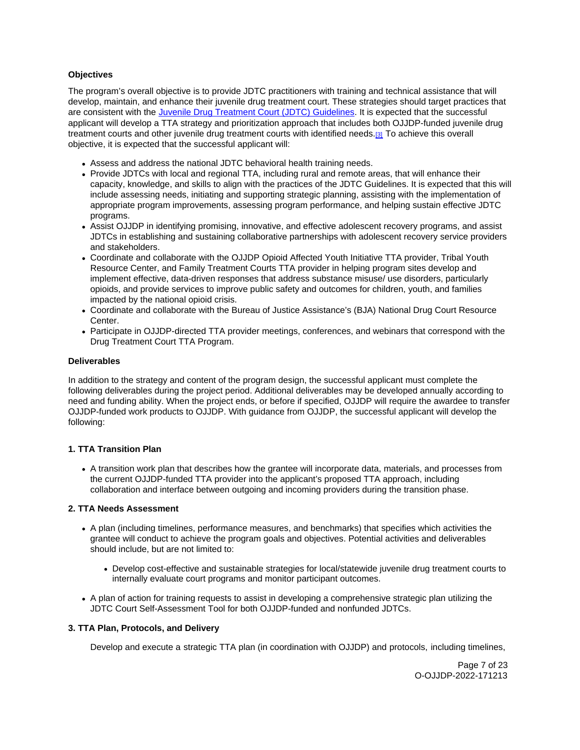# **Objectives**

 objective, it is expected that the successful applicant will: The program's overall objective is to provide JDTC practitioners with training and technical assistance that will develop, maintain, and enhance their juvenile drug treatment court. These strategies should target practices that are consistent with the [Juvenile Drug Treatment Court \(JDTC\) Guidelines.](https://www.ojjdp.gov/juvenile-drug-treatment-court-guidelines.html) It is expected that the successful applicant will develop a TTA strategy and prioritization approach that includes both OJJDP-funded juvenile drug treatment courts and other juvenile drug treatment courts with identified needs.[\[3\]](#_ftn3) To achieve this overall

- Assess and address the national JDTC behavioral health training needs.
- Provide JDTCs with local and regional TTA, including rural and remote areas, that will enhance their capacity, knowledge, and skills to align with the practices of the JDTC Guidelines. It is expected that this will include assessing needs, initiating and supporting strategic planning, assisting with the implementation of appropriate program improvements, assessing program performance, and helping sustain effective JDTC programs.
- Assist OJJDP in identifying promising, innovative, and effective adolescent recovery programs, and assist JDTCs in establishing and sustaining collaborative partnerships with adolescent recovery service providers and stakeholders.
- Coordinate and collaborate with the OJJDP Opioid Affected Youth Initiative TTA provider, Tribal Youth Resource Center, and Family Treatment Courts TTA provider in helping program sites develop and implement effective, data-driven responses that address substance misuse/ use disorders, particularly opioids, and provide services to improve public safety and outcomes for children, youth, and families impacted by the national opioid crisis.
- Coordinate and collaborate with the Bureau of Justice Assistance's (BJA) National Drug Court Resource Center.
- Participate in OJJDP-directed TTA provider meetings, conferences, and webinars that correspond with the Drug Treatment Court TTA Program.

## **Deliverables**

In addition to the strategy and content of the program design, the successful applicant must complete the following deliverables during the project period. Additional deliverables may be developed annually according to need and funding ability. When the project ends, or before if specified, OJJDP will require the awardee to transfer OJJDP-funded work products to OJJDP. With guidance from OJJDP, the successful applicant will develop the following:

## **1. TTA Transition Plan**

A transition work plan that describes how the grantee will incorporate data, materials, and processes from the current OJJDP-funded TTA provider into the applicant's proposed TTA approach, including collaboration and interface between outgoing and incoming providers during the transition phase.

## **2. TTA Needs Assessment**

- A plan (including timelines, performance measures, and benchmarks) that specifies which activities the grantee will conduct to achieve the program goals and objectives. Potential activities and deliverables should include, but are not limited to:
	- Develop cost-effective and sustainable strategies for local/statewide juvenile drug treatment courts to internally evaluate court programs and monitor participant outcomes.
- A plan of action for training requests to assist in developing a comprehensive strategic plan utilizing the JDTC Court Self-Assessment Tool for both OJJDP-funded and nonfunded JDTCs.

## **3. TTA Plan, Protocols, and Delivery**

Develop and execute a strategic TTA plan (in coordination with OJJDP) and protocols, including timelines,

Page 7 of 23 O-OJJDP-2022-171213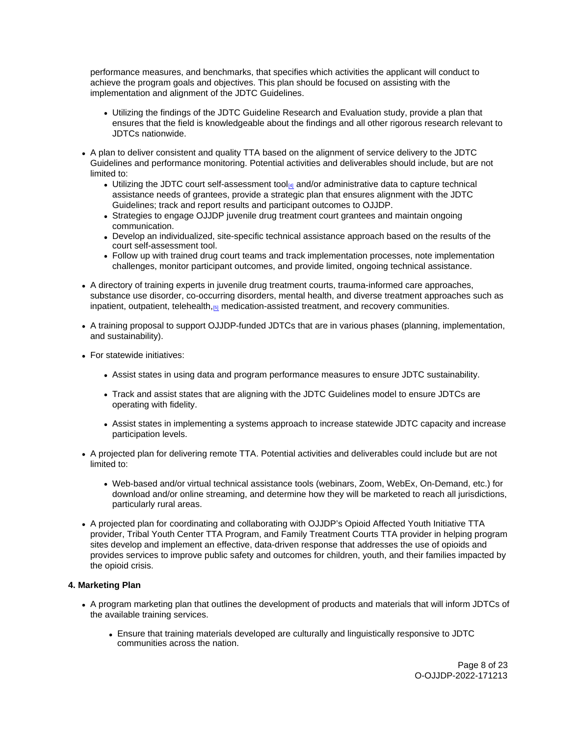performance measures, and benchmarks, that specifies which activities the applicant will conduct to achieve the program goals and objectives. This plan should be focused on assisting with the implementation and alignment of the JDTC Guidelines.

- Utilizing the findings of the JDTC Guideline Research and Evaluation study, provide a plan that ensures that the field is knowledgeable about the findings and all other rigorous research relevant to JDTCs nationwide.
- A plan to deliver consistent and quality TTA based on the alignment of service delivery to the JDTC Guidelines and performance monitoring. Potential activities and deliverables should include, but are not limited to:
	- Utilizing the JDTC court self-assessment tool $_{[4]}$  and/or administrative data to capture technical assistance needs of grantees, provide a strategic plan that ensures alignment with the JDTC Guidelines; track and report results and participant outcomes to OJJDP.
	- Strategies to engage OJJDP juvenile drug treatment court grantees and maintain ongoing communication.
	- Develop an individualized, site-specific technical assistance approach based on the results of the court self-assessment tool.
	- Follow up with trained drug court teams and track implementation processes, note implementation challenges, monitor participant outcomes, and provide limited, ongoing technical assistance.
- A directory of training experts in juvenile drug treatment courts, trauma-informed care approaches, substance use disorder, co-occurring disorders, mental health, and diverse treatment approaches such as inpatient, outpatient, telehealth, $<sub>[5]</sub>$  medication-assisted treatment, and recovery communities.</sub>
- A training proposal to support OJJDP-funded JDTCs that are in various phases (planning, implementation, and sustainability).
- For statewide initiatives:
	- Assist states in using data and program performance measures to ensure JDTC sustainability.
	- Track and assist states that are aligning with the JDTC Guidelines model to ensure JDTCs are operating with fidelity.
	- Assist states in implementing a systems approach to increase statewide JDTC capacity and increase participation levels.
- A projected plan for delivering remote TTA. Potential activities and deliverables could include but are not limited to:
	- Web-based and/or virtual technical assistance tools (webinars, Zoom, WebEx, On-Demand, etc.) for download and/or online streaming, and determine how they will be marketed to reach all jurisdictions, particularly rural areas.
- A projected plan for coordinating and collaborating with OJJDP's Opioid Affected Youth Initiative TTA provider, Tribal Youth Center TTA Program, and Family Treatment Courts TTA provider in helping program sites develop and implement an effective, data-driven response that addresses the use of opioids and provides services to improve public safety and outcomes for children, youth, and their families impacted by the opioid crisis.

# **4. Marketing Plan**

- A program marketing plan that outlines the development of products and materials that will inform JDTCs of the available training services.
	- Ensure that training materials developed are culturally and linguistically responsive to JDTC communities across the nation.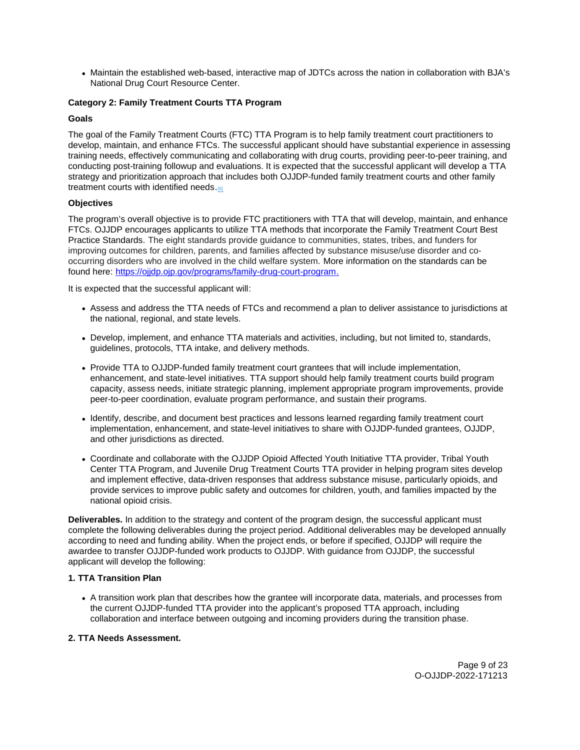Maintain the established web-based, interactive map of JDTCs across the nation in collaboration with BJA's National Drug Court Resource Center.

# **Category 2: Family Treatment Courts TTA Program**

## **Goals**

The goal of the Family Treatment Courts (FTC) TTA Program is to help family treatment court practitioners to develop, maintain, and enhance FTCs. The successful applicant should have substantial experience in assessing training needs, effectively communicating and collaborating with drug courts, providing peer-to-peer training, and conducting post-training followup and evaluations. It is expected that the successful applicant will develop a TTA strategy and prioritization approach that includes both OJJDP-funded family treatment courts and other family treatment courts with identified needs.<sup>[6]</sup>

## **Objectives**

The program's overall objective is to provide FTC practitioners with TTA that will develop, maintain, and enhance FTCs. OJJDP encourages applicants to utilize TTA methods that incorporate the Family Treatment Court Best Practice Standards. The eight standards provide guidance to communities, states, tribes, and funders for improving outcomes for children, parents, and families affected by substance misuse/use disorder and cooccurring disorders who are involved in the child welfare system. More information on the standards can be found here: [https://ojjdp.ojp.gov/programs/family-drug-court-program.](https://ojjdp.ojp.gov/programs/family-drug-court-program)

It is expected that the successful applicant will:

- Assess and address the TTA needs of FTCs and recommend a plan to deliver assistance to jurisdictions at the national, regional, and state levels.
- Develop, implement, and enhance TTA materials and activities, including, but not limited to, standards, guidelines, protocols, TTA intake, and delivery methods.
- Provide TTA to OJJDP-funded family treatment court grantees that will include implementation, enhancement, and state-level initiatives. TTA support should help family treatment courts build program capacity, assess needs, initiate strategic planning, implement appropriate program improvements, provide peer-to-peer coordination, evaluate program performance, and sustain their programs.
- Identify, describe, and document best practices and lessons learned regarding family treatment court implementation, enhancement, and state-level initiatives to share with OJJDP-funded grantees, OJJDP, and other jurisdictions as directed.
- Coordinate and collaborate with the OJJDP Opioid Affected Youth Initiative TTA provider, Tribal Youth Center TTA Program, and Juvenile Drug Treatment Courts TTA provider in helping program sites develop and implement effective, data-driven responses that address substance misuse, particularly opioids, and provide services to improve public safety and outcomes for children, youth, and families impacted by the national opioid crisis.

**Deliverables.** In addition to the strategy and content of the program design, the successful applicant must complete the following deliverables during the project period. Additional deliverables may be developed annually according to need and funding ability. When the project ends, or before if specified, OJJDP will require the awardee to transfer OJJDP-funded work products to OJJDP. With guidance from OJJDP, the successful applicant will develop the following:

# **1. TTA Transition Plan**

A transition work plan that describes how the grantee will incorporate data, materials, and processes from the current OJJDP-funded TTA provider into the applicant's proposed TTA approach, including collaboration and interface between outgoing and incoming providers during the transition phase.

# **2. TTA Needs Assessment.**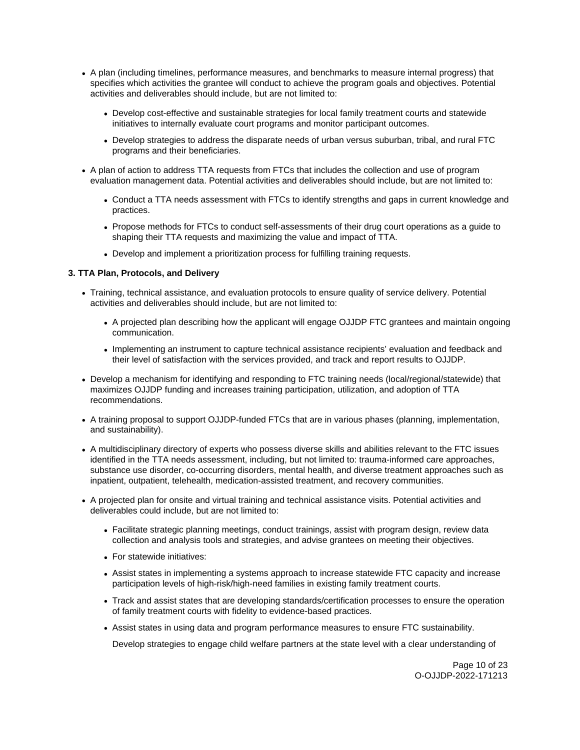- A plan (including timelines, performance measures, and benchmarks to measure internal progress) that specifies which activities the grantee will conduct to achieve the program goals and objectives. Potential activities and deliverables should include, but are not limited to:
	- Develop cost-effective and sustainable strategies for local family treatment courts and statewide initiatives to internally evaluate court programs and monitor participant outcomes.
	- Develop strategies to address the disparate needs of urban versus suburban, tribal, and rural FTC programs and their beneficiaries.
- A plan of action to address TTA requests from FTCs that includes the collection and use of program evaluation management data. Potential activities and deliverables should include, but are not limited to:
	- Conduct a TTA needs assessment with FTCs to identify strengths and gaps in current knowledge and practices.
	- Propose methods for FTCs to conduct self-assessments of their drug court operations as a guide to shaping their TTA requests and maximizing the value and impact of TTA.
	- Develop and implement a prioritization process for fulfilling training requests.

## **3. TTA Plan, Protocols, and Delivery**

- Training, technical assistance, and evaluation protocols to ensure quality of service delivery. Potential activities and deliverables should include, but are not limited to:
	- A projected plan describing how the applicant will engage OJJDP FTC grantees and maintain ongoing communication.
	- Implementing an instrument to capture technical assistance recipients' evaluation and feedback and their level of satisfaction with the services provided, and track and report results to OJJDP.
- Develop a mechanism for identifying and responding to FTC training needs (local/regional/statewide) that maximizes OJJDP funding and increases training participation, utilization, and adoption of TTA recommendations.
- A training proposal to support OJJDP-funded FTCs that are in various phases (planning, implementation, and sustainability).
- A multidisciplinary directory of experts who possess diverse skills and abilities relevant to the FTC issues identified in the TTA needs assessment, including, but not limited to: trauma-informed care approaches, substance use disorder, co-occurring disorders, mental health, and diverse treatment approaches such as inpatient, outpatient, telehealth, medication-assisted treatment, and recovery communities.
- A projected plan for onsite and virtual training and technical assistance visits. Potential activities and deliverables could include, but are not limited to:
	- Facilitate strategic planning meetings, conduct trainings, assist with program design, review data collection and analysis tools and strategies, and advise grantees on meeting their objectives.
	- For statewide initiatives:
	- Assist states in implementing a systems approach to increase statewide FTC capacity and increase participation levels of high-risk/high-need families in existing family treatment courts.
	- Track and assist states that are developing standards/certification processes to ensure the operation of family treatment courts with fidelity to evidence-based practices.
	- Assist states in using data and program performance measures to ensure FTC sustainability.

Develop strategies to engage child welfare partners at the state level with a clear understanding of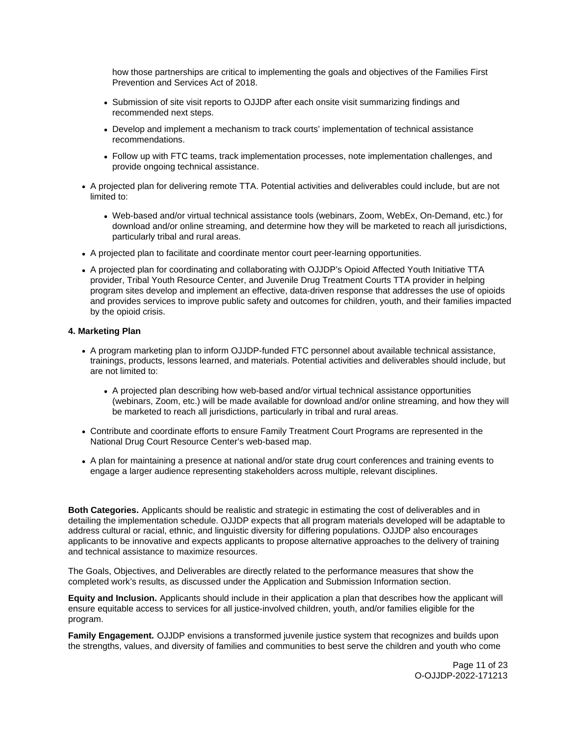how those partnerships are critical to implementing the goals and objectives of the Families First Prevention and Services Act of 2018.

- Submission of site visit reports to OJJDP after each onsite visit summarizing findings and recommended next steps.
- Develop and implement a mechanism to track courts' implementation of technical assistance recommendations.
- Follow up with FTC teams, track implementation processes, note implementation challenges, and provide ongoing technical assistance.
- A projected plan for delivering remote TTA. Potential activities and deliverables could include, but are not limited to:
	- Web-based and/or virtual technical assistance tools (webinars, Zoom, WebEx, On-Demand, etc.) for download and/or online streaming, and determine how they will be marketed to reach all jurisdictions, particularly tribal and rural areas.
- A projected plan to facilitate and coordinate mentor court peer-learning opportunities.
- A projected plan for coordinating and collaborating with OJJDP's Opioid Affected Youth Initiative TTA provider, Tribal Youth Resource Center, and Juvenile Drug Treatment Courts TTA provider in helping program sites develop and implement an effective, data-driven response that addresses the use of opioids and provides services to improve public safety and outcomes for children, youth, and their families impacted by the opioid crisis.

## **4. Marketing Plan**

- A program marketing plan to inform OJJDP-funded FTC personnel about available technical assistance, trainings, products, lessons learned, and materials. Potential activities and deliverables should include, but are not limited to:
	- A projected plan describing how web-based and/or virtual technical assistance opportunities (webinars, Zoom, etc.) will be made available for download and/or online streaming, and how they will be marketed to reach all jurisdictions, particularly in tribal and rural areas.
- Contribute and coordinate efforts to ensure Family Treatment Court Programs are represented in the National Drug Court Resource Center's web-based map.
- A plan for maintaining a presence at national and/or state drug court conferences and training events to engage a larger audience representing stakeholders across multiple, relevant disciplines.

**Both Categories.** Applicants should be realistic and strategic in estimating the cost of deliverables and in detailing the implementation schedule. OJJDP expects that all program materials developed will be adaptable to address cultural or racial, ethnic, and linguistic diversity for differing populations. OJJDP also encourages applicants to be innovative and expects applicants to propose alternative approaches to the delivery of training and technical assistance to maximize resources.

The Goals, Objectives, and Deliverables are directly related to the performance measures that show the completed work's results, as discussed under the Application and Submission Information section.

**Equity and Inclusion.** Applicants should include in their application a plan that describes how the applicant will ensure equitable access to services for all justice-involved children, youth, and/or families eligible for the program.

**Family Engagement.** OJJDP envisions a transformed juvenile justice system that recognizes and builds upon the strengths, values, and diversity of families and communities to best serve the children and youth who come

> Page 11 of 23 O-OJJDP-2022-171213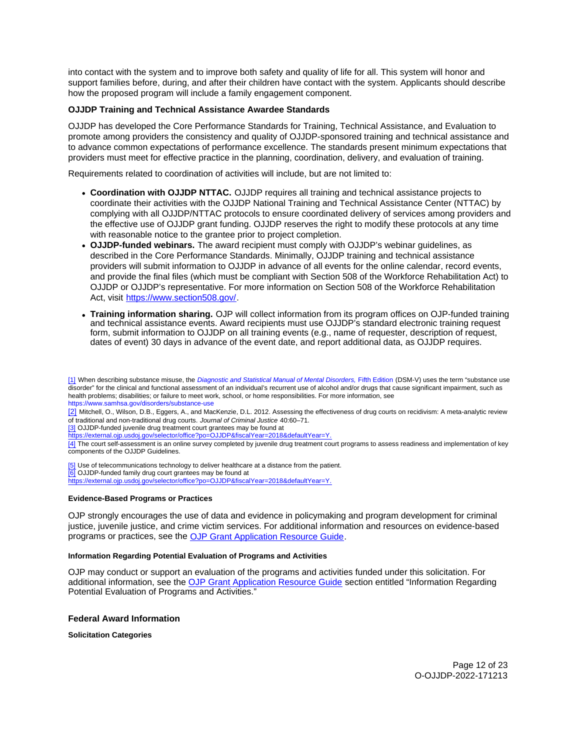<span id="page-11-0"></span>into contact with the system and to improve both safety and quality of life for all. This system will honor and support families before, during, and after their children have contact with the system. Applicants should describe how the proposed program will include a family engagement component.

## **OJJDP Training and Technical Assistance Awardee Standards**

OJJDP has developed the Core Performance Standards for Training, Technical Assistance, and Evaluation to promote among providers the consistency and quality of OJJDP-sponsored training and technical assistance and to advance common expectations of performance excellence. The standards present minimum expectations that providers must meet for effective practice in the planning, coordination, delivery, and evaluation of training.

Requirements related to coordination of activities will include, but are not limited to:

- **Coordination with OJJDP NTTAC.** OJJDP requires all training and technical assistance projects to coordinate their activities with the OJJDP National Training and Technical Assistance Center (NTTAC) by complying with all OJJDP/NTTAC protocols to ensure coordinated delivery of services among providers and the effective use of OJJDP grant funding. OJJDP reserves the right to modify these protocols at any time with reasonable notice to the grantee prior to project completion.
- **OJJDP-funded webinars.** The award recipient must comply with OJJDP's webinar guidelines, as described in the Core Performance Standards. Minimally, OJJDP training and technical assistance providers will submit information to OJJDP in advance of all events for the online calendar, record events, and provide the final files (which must be compliant with Section 508 of the Workforce Rehabilitation Act) to OJJDP or OJJDP's representative. For more information on Section 508 of the Workforce Rehabilitation Act, visit [https://www.section508.gov/.](https://www.section508.gov/)
- **Training information sharing.** OJP will collect information from its program offices on OJP-funded training and technical assistance events. Award recipients must use OJJDP's standard electronic training request form, submit information to OJJDP on all training events (e.g., name of requester, description of request, dates of event) 30 days in advance of the event date, and report additional data, as OJJDP requires.

[\[1\]](#_ftnref1) When describing substance misuse, the Diagnostic and Statistical Manual of Mental Disorders, Fifth Edition (DSM-V) uses the term "substance use disorder" for the clinical and functional assessment of an individual's recurrent use of alcohol and/or drugs that cause significant impairment, such as health problems; disabilities; or failure to meet work, school, or home responsibilities. For more information, see <https://www.samhsa.gov/disorders/substance-use>

[\[2\]](#_ftnref2) Mitchell, O., Wilson, D.B., Eggers, A., and MacKenzie, D.L. 2012. Assessing the effectiveness of drug courts on recidivism: A meta-analytic review of traditional and non-traditional drug courts. Journal of Criminal Justice 40:60–71.

[\[3\]](#_ftnref3) OJJDP-funded juvenile drug treatment court grantees may be found at

[https://external.ojp.usdoj.gov/selector/office?po=OJJDP&fiscalYear=2018&defaultYear=Y.](https://external.ojp.usdoj.gov/selector/office?po=OJJDP&fiscalYear=2018&defaultYear=Y)

[\[4\]](#_ftnref4) The court self-assessment is an online survey completed by juvenile drug treatment court programs to assess readiness and implementation of key components of the OJJDP Guidelines.

[\[5\]](#_ftnref5) Use of telecommunications technology to deliver healthcare at a distance from the patient.

[\[6\]](#_ftnref6) OJJDP-funded family drug court grantees may be found at

[https://external.ojp.usdoj.gov/selector/office?po=OJJDP&fiscalYear=2018&defaultYear=Y.](https://external.ojp.usdoj.gov/selector/office?po=OJJDP&fiscalYear=2018&defaultYear=Y)

#### **Evidence-Based Programs or Practices**

OJP strongly encourages the use of data and evidence in policymaking and program development for criminal justice, juvenile justice, and crime victim services. For additional information and resources on evidence-based programs or practices, see the [OJP Grant Application Resource Guide.](https://www.ojp.gov/funding/apply/ojp-grant-application-resource-guide#evidence-based)

#### **Information Regarding Potential Evaluation of Programs and Activities**

OJP may conduct or support an evaluation of the programs and activities funded under this solicitation. For additional information, see the [OJP Grant Application Resource Guide](https://www.ojp.gov/funding/apply/ojp-grant-application-resource-guide#potential-evaluation) section entitled "Information Regarding Potential Evaluation of Programs and Activities."

## **Federal Award Information**

**Solicitation Categories**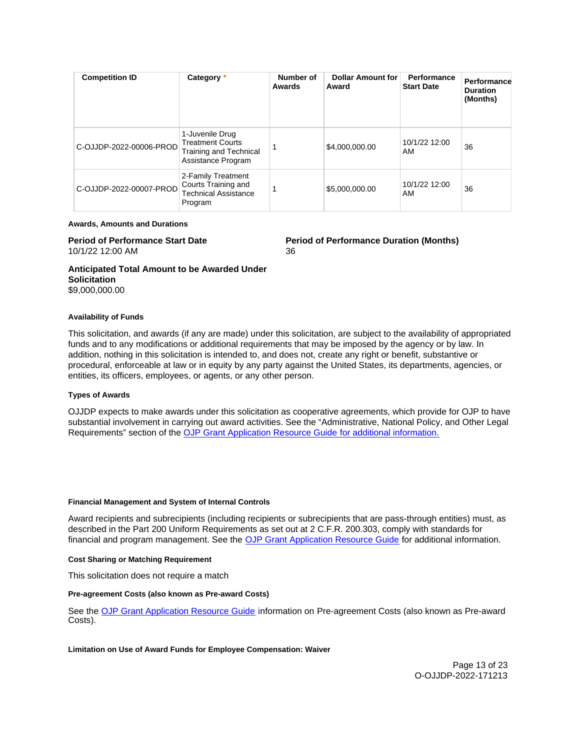<span id="page-12-0"></span>

| <b>Competition ID</b>   | Category *                                                                                 | Number of<br><b>Awards</b> | <b>Dollar Amount for</b><br>Award | Performance<br><b>Start Date</b> | Performance<br><b>Duration</b><br>(Months) |
|-------------------------|--------------------------------------------------------------------------------------------|----------------------------|-----------------------------------|----------------------------------|--------------------------------------------|
| C-OJJDP-2022-00006-PROD | 1-Juvenile Drug<br><b>Treatment Courts</b><br>Training and Technical<br>Assistance Program |                            | \$4,000,000.00                    | 10/1/22 12:00<br>AM              | 36                                         |
| C-OJJDP-2022-00007-PROD | 2-Family Treatment<br>Courts Training and<br><b>Technical Assistance</b><br>Program        |                            | \$5,000,000.00                    | 10/1/22 12:00<br>AM              | 36                                         |

#### **Awards, Amounts and Durations**

# 10/1/22 12:00 AM 36

**Period of Performance Start Date Period of Performance Duration (Months)** 

**Anticipated Total Amount to be Awarded Under Solicitation**  \$9,000,000.00

#### **Availability of Funds**

This solicitation, and awards (if any are made) under this solicitation, are subject to the availability of appropriated funds and to any modifications or additional requirements that may be imposed by the agency or by law. In addition, nothing in this solicitation is intended to, and does not, create any right or benefit, substantive or procedural, enforceable at law or in equity by any party against the United States, its departments, agencies, or entities, its officers, employees, or agents, or any other person.

## **Types of Awards**

OJJDP expects to make awards under this solicitation as cooperative agreements, which provide for OJP to have substantial involvement in carrying out award activities. See the "Administrative, National Policy, and Other Legal Requirements" section of the [OJP Grant Application Resource Guide](https://ojp.gov/funding/Apply/Resources/Grant-App-Resource-Guide.htm) for additional information.

#### **Financial Management and System of Internal Controls**

Award recipients and subrecipients (including recipients or subrecipients that are pass-through entities) must, as described in the Part 200 Uniform Requirements as set out at 2 C.F.R. 200.303, comply with standards for financial and program management. See the [OJP Grant Application Resource Guide](https://www.ojp.gov/funding/apply/ojp-grant-application-resource-guide#fm-internal-controls) for additional information.

#### **Cost Sharing or Matching Requirement**

This solicitation does not require a match

## **Pre-agreement Costs (also known as Pre-award Costs)**

See the [OJP Grant Application Resource Guide](https://www.ojp.gov/funding/apply/ojp-grant-application-resource-guide#pre-agreement-costs) information on Pre-agreement Costs (also known as Pre-award Costs).

**Limitation on Use of Award Funds for Employee Compensation: Waiver** 

Page 13 of 23 O-OJJDP-2022-171213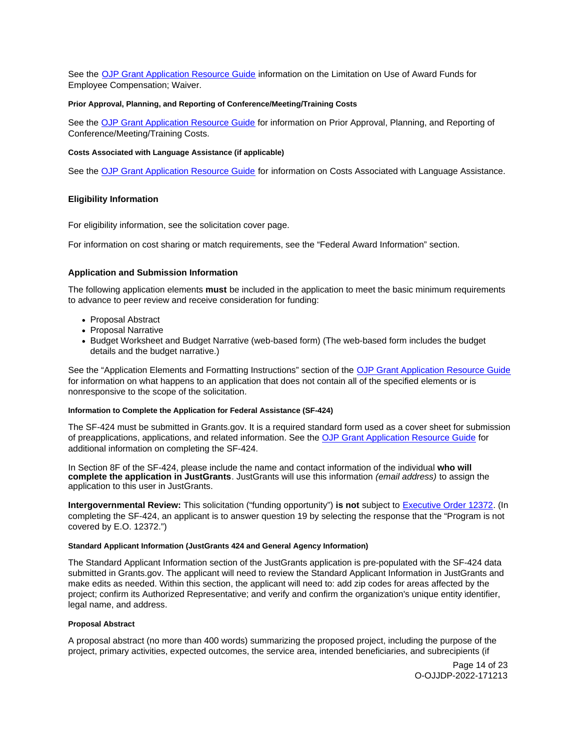<span id="page-13-0"></span>See the [OJP Grant Application Resource Guide](https://www.ojp.gov/funding/apply/ojp-grant-application-resource-guide#limitation-use-award) information on the Limitation on Use of Award Funds for Employee Compensation; Waiver.

## **Prior Approval, Planning, and Reporting of Conference/Meeting/Training Costs**

See the [OJP Grant Application Resource Guide](https://www.ojp.gov/funding/apply/ojp-grant-application-resource-guide#prior-approval) for information on Prior Approval, Planning, and Reporting of Conference/Meeting/Training Costs.

## **Costs Associated with Language Assistance (if applicable)**

See the [OJP Grant Application Resource Guide](https://www.ojp.gov/funding/apply/ojp-grant-application-resource-guide#costs-associated) for information on Costs Associated with Language Assistance.

## **Eligibility Information**

For eligibility information, see the solicitation cover page.

For information on cost sharing or match requirements, see the "Federal Award Information" section.

## **Application and Submission Information**

The following application elements **must** be included in the application to meet the basic minimum requirements to advance to peer review and receive consideration for funding:

- Proposal Abstract
- Proposal Narrative
- Budget Worksheet and Budget Narrative (web-based form) (The web-based form includes the budget details and the budget narrative.)

See the "Application Elements and Formatting Instructions" section of the [OJP Grant Application Resource Guide](https://ojp.gov/funding/Apply/Resources/Grant-App-Resource-Guide.htm)  for information on what happens to an application that does not contain all of the specified elements or is nonresponsive to the scope of the solicitation.

#### **Information to Complete the Application for Federal Assistance (SF-424)**

The SF-424 must be submitted in [Grants.gov](https://Grants.gov). It is a required standard form used as a cover sheet for submission of preapplications, applications, and related information. See the [OJP Grant Application Resource Guide](https://www.ojp.gov/funding/apply/ojp-grant-application-resource-guide#complete-application) for additional information on completing the SF-424.

In Section 8F of the SF-424, please include the name and contact information of the individual **who will complete the application in JustGrants**. JustGrants will use this information (email address) to assign the application to this user in JustGrants.

**Intergovernmental Review:** This solicitation ("funding opportunity") **is not** subject to [Executive Order 12372.](https://www.archives.gov/federal-register/codification/executive-order/12372.html) (In completing the SF-424, an applicant is to answer question 19 by selecting the response that the "Program is not covered by E.O. 12372.")

#### **Standard Applicant Information (JustGrants 424 and General Agency Information)**

The Standard Applicant Information section of the JustGrants application is pre-populated with the SF-424 data submitted in [Grants.gov.](https://Grants.gov) The applicant will need to review the Standard Applicant Information in JustGrants and make edits as needed. Within this section, the applicant will need to: add zip codes for areas affected by the project; confirm its Authorized Representative; and verify and confirm the organization's unique entity identifier, legal name, and address.

## **Proposal Abstract**

A proposal abstract (no more than 400 words) summarizing the proposed project, including the purpose of the project, primary activities, expected outcomes, the service area, intended beneficiaries, and subrecipients (if

> Page 14 of 23 O-OJJDP-2022-171213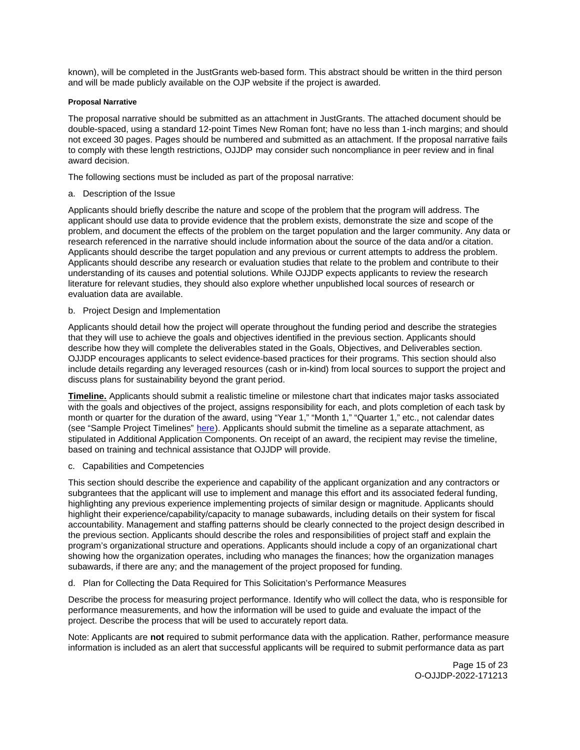<span id="page-14-0"></span>known), will be completed in the JustGrants web-based form. This abstract should be written in the third person and will be made publicly available on the OJP website if the project is awarded.

## **Proposal Narrative**

The proposal narrative should be submitted as an attachment in JustGrants. The attached document should be double-spaced, using a standard 12-point Times New Roman font; have no less than 1-inch margins; and should not exceed 30 pages. Pages should be numbered and submitted as an attachment. If the proposal narrative fails to comply with these length restrictions, OJJDP may consider such noncompliance in peer review and in final award decision.

The following sections must be included as part of the proposal narrative:

a. Description of the Issue

Applicants should briefly describe the nature and scope of the problem that the program will address. The applicant should use data to provide evidence that the problem exists, demonstrate the size and scope of the problem, and document the effects of the problem on the target population and the larger community. Any data or research referenced in the narrative should include information about the source of the data and/or a citation. Applicants should describe the target population and any previous or current attempts to address the problem. Applicants should describe any research or evaluation studies that relate to the problem and contribute to their understanding of its causes and potential solutions. While OJJDP expects applicants to review the research literature for relevant studies, they should also explore whether unpublished local sources of research or evaluation data are available.

b. Project Design and Implementation

Applicants should detail how the project will operate throughout the funding period and describe the strategies that they will use to achieve the goals and objectives identified in the previous section. Applicants should describe how they will complete the deliverables stated in the Goals, Objectives, and Deliverables section. OJJDP encourages applicants to select evidence-based practices for their programs. This section should also include details regarding any leveraged resources (cash or in-kind) from local sources to support the project and discuss plans for sustainability beyond the grant period.

**Timeline.** Applicants should submit a realistic timeline or milestone chart that indicates major tasks associated with the goals and objectives of the project, assigns responsibility for each, and plots completion of each task by month or quarter for the duration of the award, using "Year 1," "Month 1," "Quarter 1," etc., not calendar dates (see "Sample Project Timelines" [here\)](https://ojjdp.ojp.gov/funding/ojjdp-sample-timelines). Applicants should submit the timeline as a separate attachment, as stipulated in Additional Application Components. On receipt of an award, the recipient may revise the timeline, based on training and technical assistance that OJJDP will provide.

c. Capabilities and Competencies

This section should describe the experience and capability of the applicant organization and any contractors or subgrantees that the applicant will use to implement and manage this effort and its associated federal funding, highlighting any previous experience implementing projects of similar design or magnitude. Applicants should highlight their experience/capability/capacity to manage subawards, including details on their system for fiscal accountability. Management and staffing patterns should be clearly connected to the project design described in the previous section. Applicants should describe the roles and responsibilities of project staff and explain the program's organizational structure and operations. Applicants should include a copy of an organizational chart showing how the organization operates, including who manages the finances; how the organization manages subawards, if there are any; and the management of the project proposed for funding.

## d. Plan for Collecting the Data Required for This Solicitation's Performance Measures

Describe the process for measuring project performance. Identify who will collect the data, who is responsible for performance measurements, and how the information will be used to guide and evaluate the impact of the project. Describe the process that will be used to accurately report data.

Note: Applicants are **not** required to submit performance data with the application. Rather, performance measure information is included as an alert that successful applicants will be required to submit performance data as part

> Page 15 of 23 O-OJJDP-2022-171213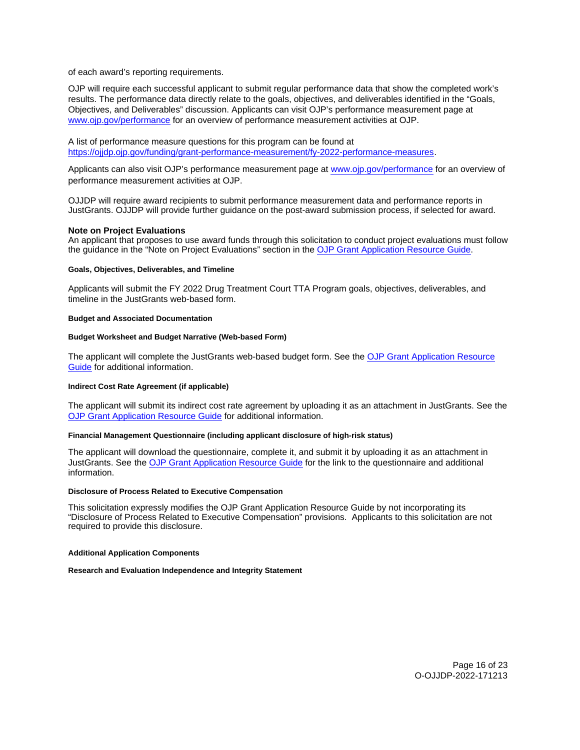<span id="page-15-0"></span>of each award's reporting requirements.

OJP will require each successful applicant to submit regular performance data that show the completed work's results. The performance data directly relate to the goals, objectives, and deliverables identified in the "Goals, Objectives, and Deliverables" discussion. Applicants can visit OJP's performance measurement page at [www.ojp.gov/performance](https://www.ojp.gov/performance) for an overview of performance measurement activities at OJP.

A list of performance measure questions for this program can be found at [https://ojjdp.ojp.gov/funding/grant-performance-measurement/fy-2022-performance-measures.](https://ojjdp.ojp.gov/funding/performance-measures/performance-measures-opioid-affected-youth-program.pdf)

Applicants can also visit OJP's performance measurement page at [www.ojp.gov/performance](https://www.ojp.gov/performance) for an overview of performance measurement activities at OJP.

OJJDP will require award recipients to submit performance measurement data and performance reports in JustGrants. OJJDP will provide further guidance on the post-award submission process, if selected for award.

## **Note on Project Evaluations**

An applicant that proposes to use award funds through this solicitation to conduct project evaluations must follow the guidance in the "Note on Project Evaluations" section in the [OJP Grant Application Resource Guide.](https://www.ojp.gov/funding/apply/ojp-grant-application-resource-guide#project-evaluations) 

#### **Goals, Objectives, Deliverables, and Timeline**

Applicants will submit the FY 2022 Drug Treatment Court TTA Program goals, objectives, deliverables, and timeline in the JustGrants web-based form.

#### **Budget and Associated Documentation**

#### **Budget Worksheet and Budget Narrative (Web-based Form)**

The applicant will complete the JustGrants web-based budget form. See the [OJP Grant Application Resource](https://www.ojp.gov/funding/apply/ojp-grant-application-resource-guide#budget-prep)  [Guide](https://www.ojp.gov/funding/apply/ojp-grant-application-resource-guide#budget-prep) for additional information.

#### **Indirect Cost Rate Agreement (if applicable)**

The applicant will submit its indirect cost rate agreement by uploading it as an attachment in JustGrants. See the [OJP Grant Application Resource Guide f](https://www.ojp.gov/funding/apply/ojp-grant-application-resource-guide#indirect-cost)or additional information.

#### **Financial Management Questionnaire (including applicant disclosure of high-risk status)**

The applicant will download the questionnaire, complete it, and submit it by uploading it as an attachment in JustGrants. See the [OJP Grant Application Resource Guide](https://www.ojp.gov/funding/apply/ojp-grant-application-resource-guide#fm-internal-controls-questionnaire) for the link to the questionnaire and additional information.

#### **Disclosure of Process Related to Executive Compensation**

This solicitation expressly modifies the OJP Grant Application Resource Guide by not incorporating its "Disclosure of Process Related to Executive Compensation" provisions. Applicants to this solicitation are not required to provide this disclosure.

#### **Additional Application Components**

#### **Research and Evaluation Independence and Integrity Statement**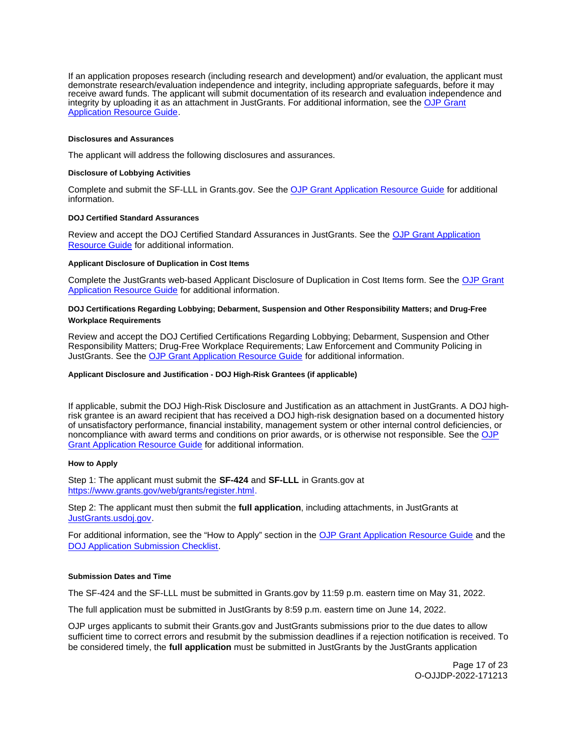<span id="page-16-0"></span>If an application proposes research (including research and development) and/or evaluation, the applicant must demonstrate research/evaluation independence and integrity, including appropriate safeguards, before it may receive award funds. The applicant will submit documentation of its research and evaluation independence and integrity by uploading it as an attachment in JustGrants. For additional information, see the [OJP Grant](https://www.ojp.gov/funding/apply/ojp-grant-application-resource-guide#research-evaluation)  [Application Resource Guide.](https://www.ojp.gov/funding/apply/ojp-grant-application-resource-guide#research-evaluation)

#### **Disclosures and Assurances**

The applicant will address the following disclosures and assurances.

#### **Disclosure of Lobbying Activities**

Complete and submit the SF-LLL in [Grants.gov.](https://Grants.gov) See the [OJP Grant Application Resource Guide](https://www.ojp.gov/funding/apply/ojp-grant-application-resource-guide#disclosure-lobby) for additional information.

#### **DOJ Certified Standard Assurances**

Review and accept the DOJ Certified Standard Assurances in JustGrants. See the [OJP Grant Application](https://www.ojp.gov/funding/apply/ojp-grant-application-resource-guide#administrative)  [Resource Guide](https://www.ojp.gov/funding/apply/ojp-grant-application-resource-guide#administrative) for additional information.

#### **Applicant Disclosure of Duplication in Cost Items**

Complete the JustGrants web-based Applicant Disclosure of Duplication in Cost Items form. See the [OJP Grant](https://www.ojp.gov/funding/apply/ojp-grant-application-resource-guide#applicant-disclosure-pending-applications)  [Application Resource Guide](https://www.ojp.gov/funding/apply/ojp-grant-application-resource-guide#applicant-disclosure-pending-applications) for additional information.

## **DOJ Certifications Regarding Lobbying; Debarment, Suspension and Other Responsibility Matters; and Drug-Free Workplace Requirements**

Review and accept the DOJ Certified Certifications Regarding Lobbying; Debarment, Suspension and Other Responsibility Matters; Drug-Free Workplace Requirements; Law Enforcement and Community Policing in JustGrants. See the [OJP Grant Application Resource Guide](https://www.ojp.gov/funding/apply/ojp-grant-application-resource-guide#administrative) for additional information.

#### **Applicant Disclosure and Justification - DOJ High-Risk Grantees (if applicable)**

If applicable, submit the DOJ High-Risk Disclosure and Justification as an attachment in JustGrants. A DOJ highrisk grantee is an award recipient that has received a DOJ high-risk designation based on a documented history of unsatisfactory performance, financial instability, management system or other internal control deficiencies, or noncompliance with award terms and conditions on prior awards, or is otherwise not responsible. See the [OJP](https://www.ojp.gov/funding/apply/ojp-grant-application-resource-guide#applicant-disclosure-justification)  [Grant Application Resource Guide](https://www.ojp.gov/funding/apply/ojp-grant-application-resource-guide#applicant-disclosure-justification) for additional information.

#### **How to Apply**

Step 1: The applicant must submit the **SF-424** and **SF-LLL** in [Grants.gov](https://Grants.gov) at [https://www.grants.gov/web/grants/register.html.](https://www.grants.gov/web/grants/register.html)

Step 2: The applicant must then submit the **full application**, including attachments, in JustGrants at [JustGrants.usdoj.gov.](https://justicegrants.usdoj.gov/)

For additional information, see the "How to Apply" section in the [OJP Grant Application Resource Guide](https://www.ojp.gov/funding/apply/ojp-grant-application-resource-guide#apply) and the [DOJ Application Submission Checklist.](https://justicegrants.usdoj.gov/sites/g/files/xyckuh296/files/media/document/appln-submission-checklist.pdf)

#### **Submission Dates and Time**

The SF-424 and the SF-LLL must be submitted in [Grants.gov](https://Grants.gov) by 11:59 p.m. eastern time on May 31, 2022.

The full application must be submitted in JustGrants by 8:59 p.m. eastern time on June 14, 2022.

OJP urges applicants to submit their [Grants.gov](https://Grants.gov) and JustGrants submissions prior to the due dates to allow sufficient time to correct errors and resubmit by the submission deadlines if a rejection notification is received. To be considered timely, the **full application** must be submitted in JustGrants by the JustGrants application

> Page 17 of 23 O-OJJDP-2022-171213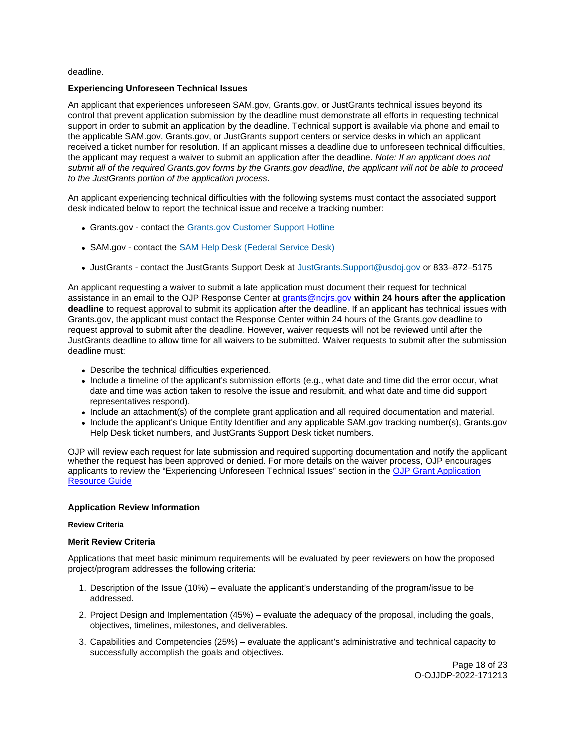## <span id="page-17-0"></span>deadline.

## **Experiencing Unforeseen Technical Issues**

An applicant that experiences unforeseen SAM.gov, [Grants.gov,](https://Grants.gov) or JustGrants technical issues beyond its control that prevent application submission by the deadline must demonstrate all efforts in requesting technical support in order to submit an application by the deadline. Technical support is available via phone and email to the applicable SAM.gov, [Grants.gov,](https://Grants.gov) or JustGrants support centers or service desks in which an applicant received a ticket number for resolution. If an applicant misses a deadline due to unforeseen technical difficulties, the applicant may request a waiver to submit an application after the deadline. Note: If an applicant does not submit all of the required [Grants.gov](https://Grants.gov) forms by the Grants.gov deadline, the applicant will not be able to proceed to the JustGrants portion of the application process.

An applicant experiencing technical difficulties with the following systems must contact the associated support desk indicated below to report the technical issue and receive a tracking number:

- [Grants.gov](https://Grants.gov)  contact the [Grants.gov Customer Support Hotline](https://www.grants.gov/web/grants/support.html)
- SAM.gov contact the [SAM Help Desk \(Federal Service Desk\)](https://www.fsd.gov/gsafsd_sp)
- JustGrants contact the JustGrants Support Desk at [JustGrants.Support@usdoj.gov](mailto:JustGrants.Support@usdoj.gov) or 833–872–5175

An applicant requesting a waiver to submit a late application must document their request for technical assistance in an email to the OJP Response Center at [grants@ncjrs.gov](file:///C:/Users/local_Yehj/INetCache/Content.Outlook/20U4XBR7/grants@ncjrs.gov) **within 24 hours after the application deadline** to request approval to submit its application after the deadline. If an applicant has technical issues with [Grants.gov,](https://Grants.gov) the applicant must contact the Response Center within 24 hours of the [Grants.gov](https://Grants.gov) deadline to request approval to submit after the deadline. However, waiver requests will not be reviewed until after the JustGrants deadline to allow time for all waivers to be submitted. Waiver requests to submit after the submission deadline must:

- Describe the technical difficulties experienced.
- Include a timeline of the applicant's submission efforts (e.g., what date and time did the error occur, what date and time was action taken to resolve the issue and resubmit, and what date and time did support representatives respond).
- Include an attachment(s) of the complete grant application and all required documentation and material.
- Include the applicant's Unique Entity Identifier and any applicable SAM.gov tracking number(s), Grants.gov Help Desk ticket numbers, and JustGrants Support Desk ticket numbers.

OJP will review each request for late submission and required supporting documentation and notify the applicant whether the request has been approved or denied. For more details on the waiver process, OJP encourages applicants to review the "Experiencing Unforeseen Technical Issues" section in the [OJP Grant Application](https://www.ojp.gov/funding/apply/ojp-grant-application-resource-guide#experiencing-unforeseen-technical-issues)  [Resource Guide](https://www.ojp.gov/funding/apply/ojp-grant-application-resource-guide#experiencing-unforeseen-technical-issues) 

#### **Application Review Information**

#### **Review Criteria**

## **Merit Review Criteria**

Applications that meet basic minimum requirements will be evaluated by peer reviewers on how the proposed project/program addresses the following criteria:

- 1. Description of the Issue (10%) evaluate the applicant's understanding of the program/issue to be addressed.
- 2. Project Design and Implementation (45%) evaluate the adequacy of the proposal, including the goals, objectives, timelines, milestones, and deliverables.
- 3. Capabilities and Competencies (25%) evaluate the applicant's administrative and technical capacity to successfully accomplish the goals and objectives.

Page 18 of 23 O-OJJDP-2022-171213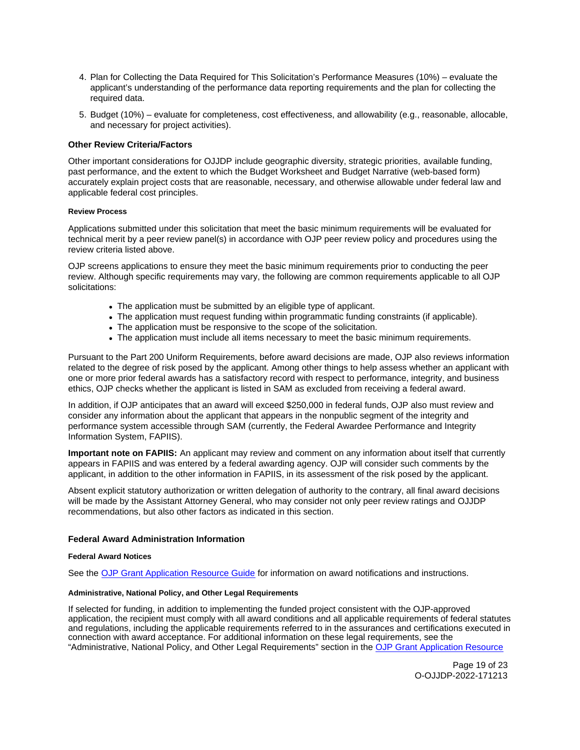- <span id="page-18-0"></span>4. Plan for Collecting the Data Required for This Solicitation's Performance Measures (10%) – evaluate the applicant's understanding of the performance data reporting requirements and the plan for collecting the required data.
- 5. Budget (10%) evaluate for completeness, cost effectiveness, and allowability (e.g., reasonable, allocable, and necessary for project activities).

## **Other Review Criteria/Factors**

Other important considerations for OJJDP include geographic diversity, strategic priorities, available funding, past performance, and the extent to which the Budget Worksheet and Budget Narrative (web-based form) accurately explain project costs that are reasonable, necessary, and otherwise allowable under federal law and applicable federal cost principles.

#### **Review Process**

Applications submitted under this solicitation that meet the basic minimum requirements will be evaluated for technical merit by a peer review panel(s) in accordance with OJP peer review policy and procedures using the review criteria listed above.

OJP screens applications to ensure they meet the basic minimum requirements prior to conducting the peer review. Although specific requirements may vary, the following are common requirements applicable to all OJP solicitations:

- The application must be submitted by an eligible type of applicant.
- The application must request funding within programmatic funding constraints (if applicable).
- The application must be responsive to the scope of the solicitation.
- The application must include all items necessary to meet the basic minimum requirements.

Pursuant to the Part 200 Uniform Requirements, before award decisions are made, OJP also reviews information related to the degree of risk posed by the applicant. Among other things to help assess whether an applicant with one or more prior federal awards has a satisfactory record with respect to performance, integrity, and business ethics, OJP checks whether the applicant is listed in SAM as excluded from receiving a federal award.

In addition, if OJP anticipates that an award will exceed \$250,000 in federal funds, OJP also must review and consider any information about the applicant that appears in the nonpublic segment of the integrity and performance system accessible through SAM (currently, the Federal Awardee Performance and Integrity Information System, FAPIIS).

**Important note on FAPIIS:** An applicant may review and comment on any information about itself that currently appears in FAPIIS and was entered by a federal awarding agency. OJP will consider such comments by the applicant, in addition to the other information in FAPIIS, in its assessment of the risk posed by the applicant.

Absent explicit statutory authorization or written delegation of authority to the contrary, all final award decisions will be made by the Assistant Attorney General, who may consider not only peer review ratings and OJJDP recommendations, but also other factors as indicated in this section.

## **Federal Award Administration Information**

#### **Federal Award Notices**

See the [OJP Grant Application Resource Guide](https://www.ojp.gov/funding/apply/ojp-grant-application-resource-guide#federal-award-notices) for information on award notifications and instructions.

#### **Administrative, National Policy, and Other Legal Requirements**

If selected for funding, in addition to implementing the funded project consistent with the OJP-approved application, the recipient must comply with all award conditions and all applicable requirements of federal statutes and regulations, including the applicable requirements referred to in the assurances and certifications executed in connection with award acceptance. For additional information on these legal requirements, see the "Administrative, National Policy, and Other Legal Requirements" section in the [OJP Grant Application Resource](https://www.ojp.gov/funding/apply/ojp-grant-application-resource-guide#administrative) 

> Page 19 of 23 O-OJJDP-2022-171213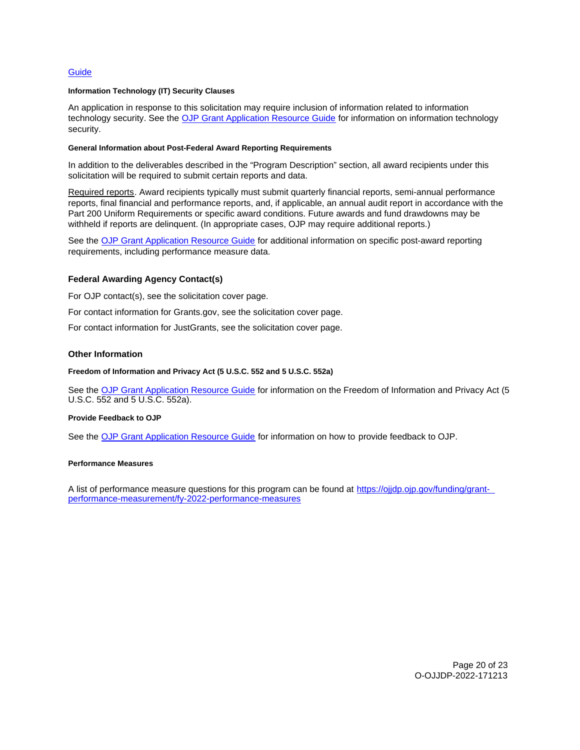## <span id="page-19-0"></span>**Guide**

#### **Information Technology (IT) Security Clauses**

An application in response to this solicitation may require inclusion of information related to information technology security. See the [OJP Grant Application Resource Guide](https://www.ojp.gov/funding/apply/ojp-grant-application-resource-guide#information-technology) for information on information technology security.

#### **General Information about Post-Federal Award Reporting Requirements**

In addition to the deliverables described in the "Program Description" section, all award recipients under this solicitation will be required to submit certain reports and data.

Required reports. Award recipients typically must submit quarterly financial reports, semi-annual performance reports, final financial and performance reports, and, if applicable, an annual audit report in accordance with the Part 200 Uniform Requirements or specific award conditions. Future awards and fund drawdowns may be withheld if reports are delinquent. (In appropriate cases, OJP may require additional reports.)

See the [OJP Grant Application Resource Guide](https://www.ojp.gov/funding/Apply/Resources/Grant-App-Resource-Guide.htm) for additional information on specific post-award reporting requirements, including performance measure data.

#### **Federal Awarding Agency Contact(s)**

For OJP contact(s), see the solicitation cover page.

For contact information for [Grants.gov](https://Grants.gov), see the solicitation cover page.

For contact information for JustGrants, see the solicitation cover page.

## **Other Information**

#### **Freedom of Information and Privacy Act (5 U.S.C. 552 and 5 U.S.C. 552a)**

See the [OJP Grant Application Resource Guide](https://www.ojp.gov/funding/apply/ojp-grant-application-resource-guide#foia) for information on the Freedom of Information and Privacy Act (5 U.S.C. 552 and 5 U.S.C. 552a).

#### **Provide Feedback to OJP**

See the [OJP Grant Application Resource Guide](https://www.ojp.gov/funding/apply/ojp-grant-application-resource-guide#feedback) for information on how to provide feedback to OJP.

#### **Performance Measures**

A list of performance measure questions for this program can be found at [https://ojjdp.ojp.gov/funding/grant](https://ojjdp.ojp.gov/funding/performance-measures/performance-measures-juvenile-drug-court.pdf)[performance-measurement/fy-2022-performance-measures](https://ojjdp.ojp.gov/funding/performance-measures/performance-measures-juvenile-drug-court.pdf)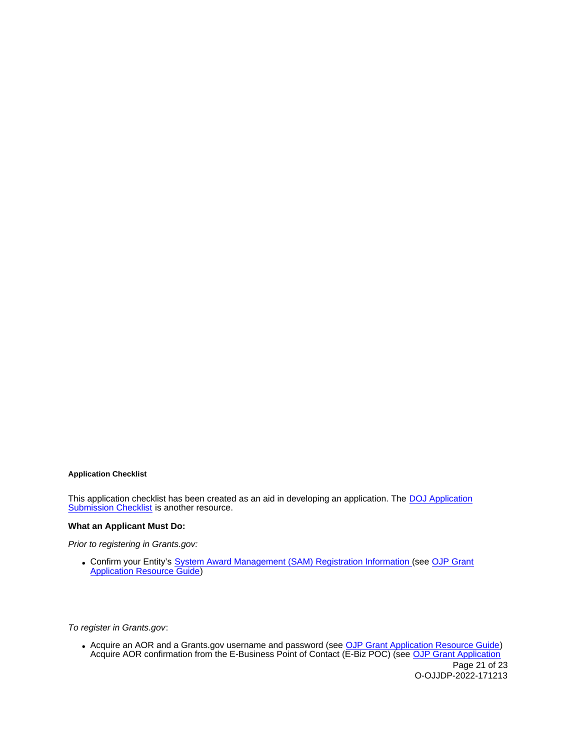## <span id="page-20-0"></span>**Application Checklist**

This application checklist has been created as an aid in developing an application. The **DOJ** Application [Submission Checklist](https://justicegrants.usdoj.gov/sites/g/files/xyckuh296/files/media/document/appln-submission-checklist.pdf) is another resource.

## **What an Applicant Must Do:**

Prior to registering in [Grants.gov](https://Grants.gov):

• Confirm your Entity's [System Award Management \(SAM\)](https://sam.gov/SAM/) Registration Information (see OJP Grant **[Application Resource Guide\)](https://www.ojp.gov/funding/apply/ojp-grant-application-resource-guide#apply)** 

To register in [Grants.gov](https://Grants.gov):

Acquire an AOR and a [Grants.gov](https://Grants.gov) username and password (see [OJP Grant Application Resource Guide\)](https://www.ojp.gov/funding/apply/ojp-grant-application-resource-guide#apply) Acquire AOR confirmation from the E-Business Point of Contact (E-Biz POC) (see OJP Grant Application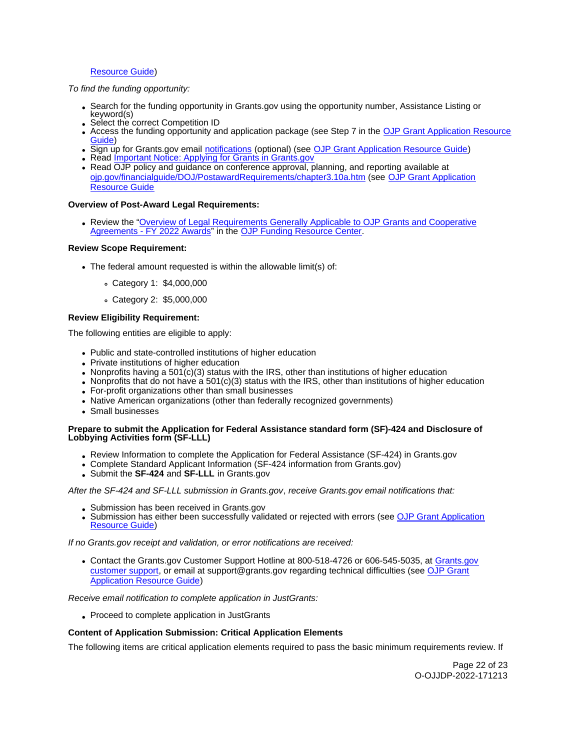## [Resource Guide\)](https://www.ojp.gov/funding/apply/ojp-grant-application-resource-guide#apply)

## To find the funding opportunity:

- Search for the funding opportunity in [Grants.gov](https://Grants.gov) using the opportunity number, Assistance Listing or keyword(s)
- Select the correct Competition ID
- Access the funding opportunity and application package (see Step 7 in the [OJP Grant Application Resource](https://www.ojp.gov/funding/apply/ojp-grant-application-resource-guide#apply)  [Guide\)](https://www.ojp.gov/funding/apply/ojp-grant-application-resource-guide#apply)
- Sign up for [Grants.gov](https://Grants.gov) email [notifications](https://www.grants.gov/web/grants/manage-subscriptions.html) (optional) (see [OJP Grant Application Resource Guide\)](https://www.ojp.gov/funding/apply/ojp-grant-application-resource-guide#apply)
- Read Important Notice: Applying for Grants in Grants.gov
- Read OJP policy and guidance on conference approval, planning, and reporting available at [ojp.gov/financialguide/DOJ/PostawardRequirements/chapter3.10a.htm](https://ojp.gov/financialguide/DOJ/PostawardRequirements/chapter3.10a.htm) (see [OJP Grant Application](https://www.ojp.gov/funding/apply/ojp-grant-application-resource-guide#prior-approval)  [Resource Guide](https://www.ojp.gov/funding/apply/ojp-grant-application-resource-guide#prior-approval)

## **Overview of Post-Award Legal Requirements:**

Review the ["Overview of Legal Requirements Generally Applicable to OJP Grants and Cooperative](https://www.ojp.gov/funding/explore/legal-overview-awards)  [Agreements - FY 2022 Awards"](https://www.ojp.gov/funding/explore/legal-overview-awards) in the [OJP Funding Resource Center.](https://www.ojp.gov/funding/explore/legal-overview-awards)

## **Review Scope Requirement:**

- The federal amount requested is within the allowable limit(s) of:
	- Category 1: \$4,000,000
	- Category 2: \$5,000,000

## **Review Eligibility Requirement:**

The following entities are eligible to apply:

- Public and state-controlled institutions of higher education
- Private institutions of higher education
- Nonprofits having a  $501(c)(3)$  status with the IRS, other than institutions of higher education
- $\bullet$  Nonprofits that do not have a 501(c)(3) status with the IRS, other than institutions of higher education
- For-profit organizations other than small businesses
- Native American organizations (other than federally recognized governments)
- Small businesses

#### **Prepare to submit the Application for Federal Assistance standard form (SF)-424 and Disclosure of Lobbying Activities form (SF-LLL)**

- Review Information to complete the Application for Federal Assistance (SF-424) in [Grants.gov](https://Grants.gov)
- Complete Standard Applicant Information (SF-424 information from [Grants.gov](https://Grants.gov))
- Submit the **SF-424** and **SF-LLL** in [Grants.gov](https://Grants.gov)

After the SF-424 and SF-LLL submission in [Grants.gov](https://Grants.gov), receive [Grants.gov](https://Grants.gov) email notifications that:

- Submission has been received in [Grants.gov](https://Grants.gov)
- Submission has either been successfully validated or rejected with errors (see [OJP Grant Application](https://www.ojp.gov/funding/apply/ojp-grant-application-resource-guide#apply)  [Resource Guide\)](https://www.ojp.gov/funding/apply/ojp-grant-application-resource-guide#apply)

If no [Grants.gov](https://Grants.gov) receipt and validation, or error notifications are received:

• Contact the [Grants.gov](https://Grants.gov) Customer Support Hotline at 800-518-4726 or 606-545-5035, at Grants.gov [customer support,](https://www.grants.gov/web/grants/support.html) or email at [support@grants.gov](mailto:support@grants.gov) regarding technical difficulties (see [OJP Grant](https://www.ojp.gov/funding/apply/ojp-grant-application-resource-guide#apply)  [Application Resource Guide\)](https://www.ojp.gov/funding/apply/ojp-grant-application-resource-guide#apply)

Receive email notification to complete application in JustGrants:

Proceed to complete application in JustGrants

## **Content of Application Submission: Critical Application Elements**

The following items are critical application elements required to pass the basic minimum requirements review. If

Page 22 of 23 O-OJJDP-2022-171213